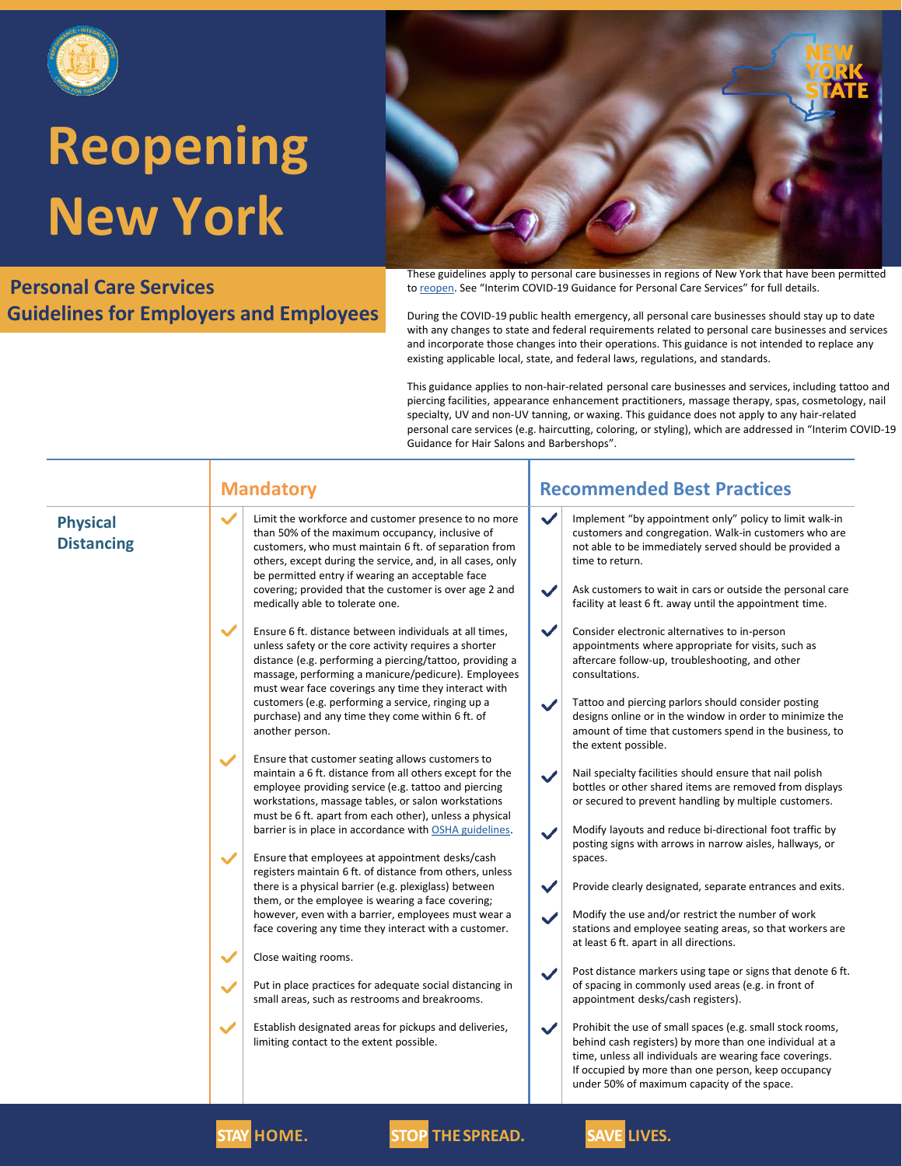

#### **Personal Care Services Guidelines for Employers and Employees**



These guidelines apply to personal care businesses in regions of New York that have been permitted to [reopen](https://forward.ny.gov/). See "Interim COVID-19 Guidance for Personal Care Services" for full details.

During the COVID-19 public health emergency, all personal care businesses should stay up to date with any changes to state and federal requirements related to personal care businesses and services and incorporate those changes into their operations. This guidance is not intended to replace any existing applicable local, state, and federal laws, regulations, and standards.

This guidance applies to non-hair-related personal care businesses and services, including tattoo and piercing facilities, appearance enhancement practitioners, massage therapy, spas, cosmetology, nail specialty, UV and non-UV tanning, or waxing. This guidance does not apply to any hair-related personal care services (e.g. haircutting, coloring, or styling), which are addressed in "Interim COVID-19 Guidance for Hair Salons and Barbershops".

|                                      | <b>Mandatory</b>                                                                                                                                                                                                                                                                                                                                                                                                                         | <b>Recommended Best Practices</b>                                                                                                                                                                                                                                                                                                                                                                              |  |
|--------------------------------------|------------------------------------------------------------------------------------------------------------------------------------------------------------------------------------------------------------------------------------------------------------------------------------------------------------------------------------------------------------------------------------------------------------------------------------------|----------------------------------------------------------------------------------------------------------------------------------------------------------------------------------------------------------------------------------------------------------------------------------------------------------------------------------------------------------------------------------------------------------------|--|
| <b>Physical</b><br><b>Distancing</b> | $\checkmark$<br>Limit the workforce and customer presence to no more<br>than 50% of the maximum occupancy, inclusive of<br>customers, who must maintain 6 ft. of separation from<br>others, except during the service, and, in all cases, only<br>be permitted entry if wearing an acceptable face<br>covering; provided that the customer is over age 2 and<br>medically able to tolerate one.                                          | $\checkmark$<br>Implement "by appointment only" policy to limit walk-in<br>customers and congregation. Walk-in customers who are<br>not able to be immediately served should be provided a<br>time to return.<br>$\checkmark$<br>Ask customers to wait in cars or outside the personal care<br>facility at least 6 ft. away until the appointment time.                                                        |  |
|                                      | $\checkmark$<br>Ensure 6 ft. distance between individuals at all times,<br>unless safety or the core activity requires a shorter<br>distance (e.g. performing a piercing/tattoo, providing a<br>massage, performing a manicure/pedicure). Employees<br>must wear face coverings any time they interact with<br>customers (e.g. performing a service, ringing up a<br>purchase) and any time they come within 6 ft. of<br>another person. | $\checkmark$<br>Consider electronic alternatives to in-person<br>appointments where appropriate for visits, such as<br>aftercare follow-up, troubleshooting, and other<br>consultations.<br>Tattoo and piercing parlors should consider posting<br>$\checkmark$<br>designs online or in the window in order to minimize the<br>amount of time that customers spend in the business, to<br>the extent possible. |  |
|                                      | Ensure that customer seating allows customers to<br>$\checkmark$<br>maintain a 6 ft. distance from all others except for the<br>employee providing service (e.g. tattoo and piercing<br>workstations, massage tables, or salon workstations<br>must be 6 ft. apart from each other), unless a physical<br>barrier is in place in accordance with OSHA guidelines.                                                                        | Nail specialty facilities should ensure that nail polish<br>$\checkmark$<br>bottles or other shared items are removed from displays<br>or secured to prevent handling by multiple customers.<br>Modify layouts and reduce bi-directional foot traffic by<br>$\checkmark$                                                                                                                                       |  |
|                                      | Ensure that employees at appointment desks/cash<br>$\checkmark$<br>registers maintain 6 ft. of distance from others, unless<br>there is a physical barrier (e.g. plexiglass) between<br>them, or the employee is wearing a face covering;<br>however, even with a barrier, employees must wear a<br>face covering any time they interact with a customer.                                                                                | posting signs with arrows in narrow aisles, hallways, or<br>spaces.<br>Provide clearly designated, separate entrances and exits.<br>$\checkmark$<br>Modify the use and/or restrict the number of work<br>$\checkmark$<br>stations and employee seating areas, so that workers are<br>at least 6 ft. apart in all directions.                                                                                   |  |
|                                      | Close waiting rooms.<br>$\checkmark$<br>Put in place practices for adequate social distancing in<br>$\checkmark$<br>small areas, such as restrooms and breakrooms.                                                                                                                                                                                                                                                                       | Post distance markers using tape or signs that denote 6 ft.<br>$\checkmark$<br>of spacing in commonly used areas (e.g. in front of<br>appointment desks/cash registers).                                                                                                                                                                                                                                       |  |
|                                      | $\checkmark$<br>Establish designated areas for pickups and deliveries,<br>limiting contact to the extent possible.                                                                                                                                                                                                                                                                                                                       | $\checkmark$<br>Prohibit the use of small spaces (e.g. small stock rooms,<br>behind cash registers) by more than one individual at a<br>time, unless all individuals are wearing face coverings.<br>If occupied by more than one person, keep occupancy<br>under 50% of maximum capacity of the space.                                                                                                         |  |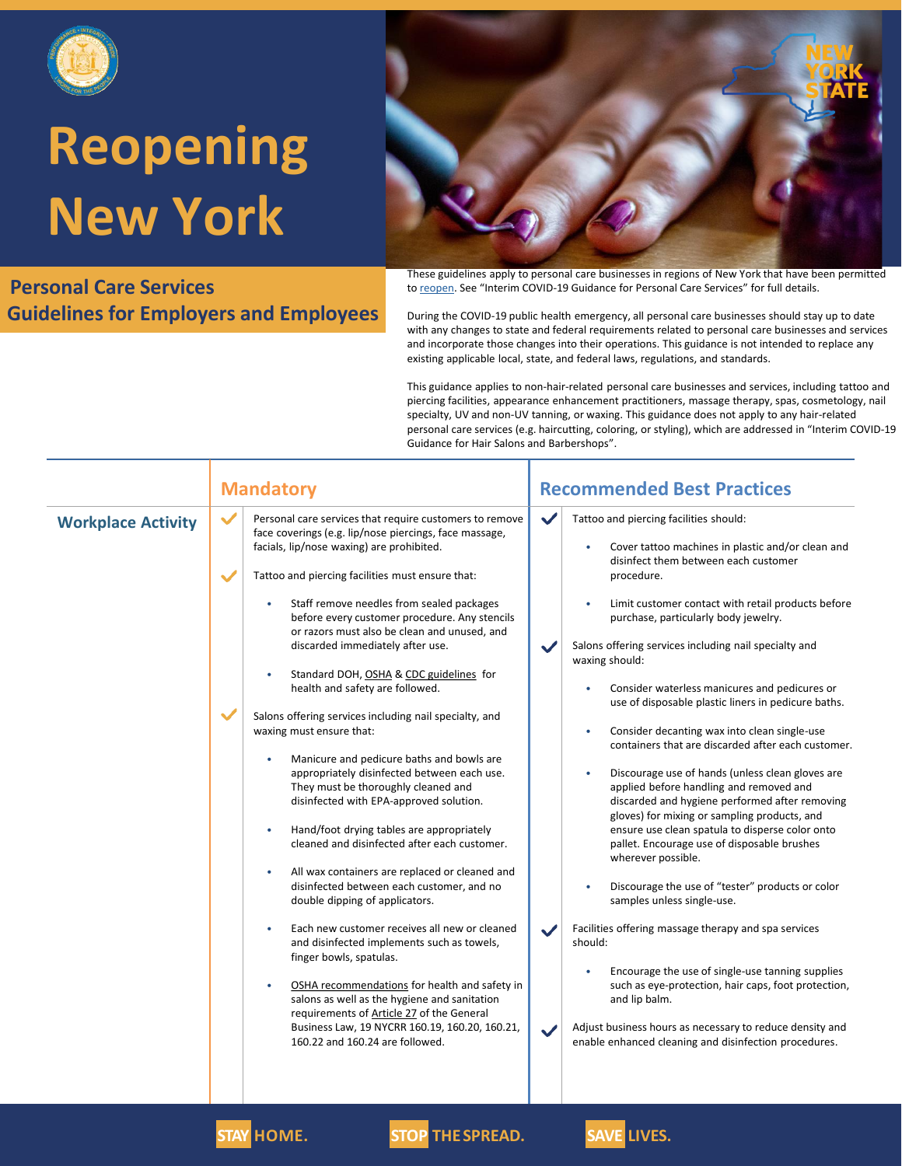

#### **Personal Care Services Guidelines for Employers and Employees**



These guidelines apply to personal care businesses in regions of New York that have been permitted to [reopen](https://forward.ny.gov/). See "Interim COVID-19 Guidance for Personal Care Services" for full details.

During the COVID-19 public health emergency, all personal care businesses should stay up to date with any changes to state and federal requirements related to personal care businesses and services and incorporate those changes into their operations. This guidance is not intended to replace any existing applicable local, state, and federal laws, regulations, and standards.

This guidance applies to non-hair-related personal care businesses and services, including tattoo and piercing facilities, appearance enhancement practitioners, massage therapy, spas, cosmetology, nail specialty, UV and non-UV tanning, or waxing. This guidance does not apply to any hair-related personal care services (e.g. haircutting, coloring, or styling), which are addressed in "Interim COVID-19 Guidance for Hair Salons and Barbershops".

| <b>Workplace Activity</b> |  |
|---------------------------|--|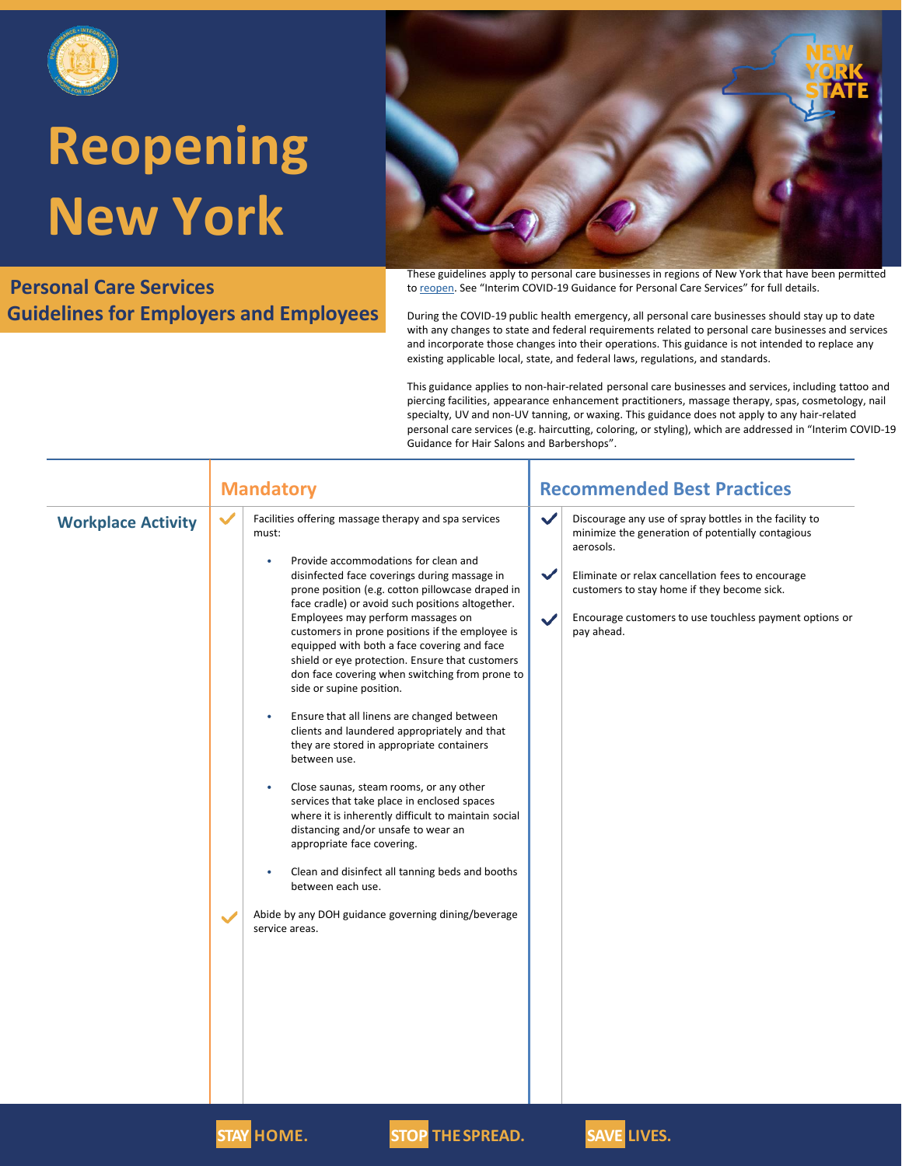

#### **Personal Care Services Guidelines for Employers and Employees**



These guidelines apply to personal care businesses in regions of New York that have been permitted to [reopen](https://forward.ny.gov/). See "Interim COVID-19 Guidance for Personal Care Services" for full details.

During the COVID-19 public health emergency, all personal care businesses should stay up to date with any changes to state and federal requirements related to personal care businesses and services and incorporate those changes into their operations. This guidance is not intended to replace any existing applicable local, state, and federal laws, regulations, and standards.

This guidance applies to non-hair-related personal care businesses and services, including tattoo and piercing facilities, appearance enhancement practitioners, massage therapy, spas, cosmetology, nail specialty, UV and non-UV tanning, or waxing. This guidance does not apply to any hair-related personal care services (e.g. haircutting, coloring, or styling), which are addressed in "Interim COVID-19 Guidance for Hair Salons and Barbershops".

| <b>Mandatory</b>          |                                                                                                                                                                                                                                                                                                                                                                                                                                                                                                                                                                                                                                                                                                                                                                                                                                                                                                                                                                                                                                                                                                                        | <b>Recommended Best Practices</b>                                                                                                                                                                                                                                                                                                                     |  |  |
|---------------------------|------------------------------------------------------------------------------------------------------------------------------------------------------------------------------------------------------------------------------------------------------------------------------------------------------------------------------------------------------------------------------------------------------------------------------------------------------------------------------------------------------------------------------------------------------------------------------------------------------------------------------------------------------------------------------------------------------------------------------------------------------------------------------------------------------------------------------------------------------------------------------------------------------------------------------------------------------------------------------------------------------------------------------------------------------------------------------------------------------------------------|-------------------------------------------------------------------------------------------------------------------------------------------------------------------------------------------------------------------------------------------------------------------------------------------------------------------------------------------------------|--|--|
| <b>Workplace Activity</b> | $\checkmark$<br>Facilities offering massage therapy and spa services<br>must:<br>Provide accommodations for clean and<br>٠<br>disinfected face coverings during massage in<br>prone position (e.g. cotton pillowcase draped in<br>face cradle) or avoid such positions altogether.<br>Employees may perform massages on<br>customers in prone positions if the employee is<br>equipped with both a face covering and face<br>shield or eye protection. Ensure that customers<br>don face covering when switching from prone to<br>side or supine position.<br>Ensure that all linens are changed between<br>$\bullet$<br>clients and laundered appropriately and that<br>they are stored in appropriate containers<br>between use.<br>Close saunas, steam rooms, or any other<br>$\bullet$<br>services that take place in enclosed spaces<br>where it is inherently difficult to maintain social<br>distancing and/or unsafe to wear an<br>appropriate face covering.<br>Clean and disinfect all tanning beds and booths<br>between each use.<br>Abide by any DOH guidance governing dining/beverage<br>service areas. | $\checkmark$<br>Discourage any use of spray bottles in the facility to<br>minimize the generation of potentially contagious<br>aerosols.<br>$\checkmark$<br>Eliminate or relax cancellation fees to encourage<br>customers to stay home if they become sick.<br>Encourage customers to use touchless payment options or<br>$\checkmark$<br>pay ahead. |  |  |



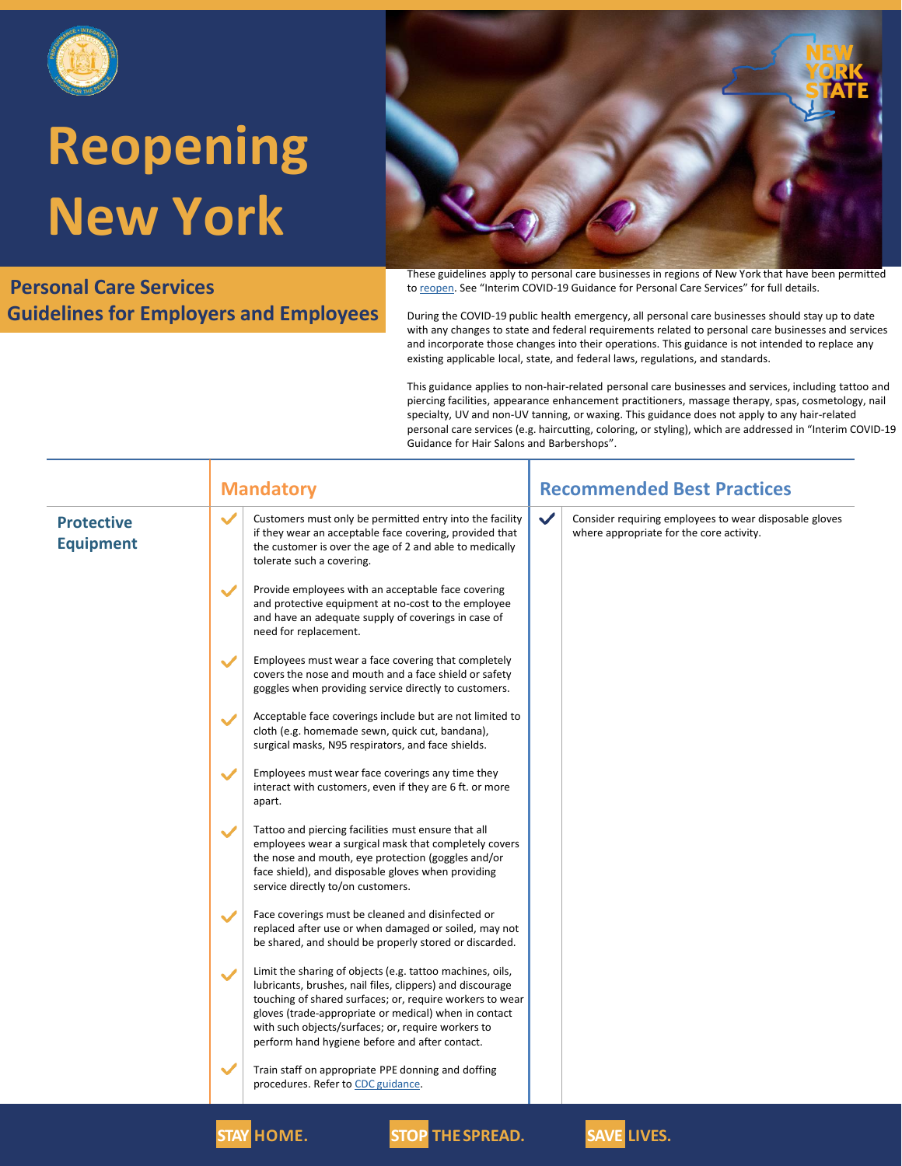

#### **Personal Care Services Guidelines for Employers and Employees**



These guidelines apply to personal care businesses in regions of New York that have been permitted to [reopen](https://forward.ny.gov/). See "Interim COVID-19 Guidance for Personal Care Services" for full details.

During the COVID-19 public health emergency, all personal care businesses should stay up to date with any changes to state and federal requirements related to personal care businesses and services and incorporate those changes into their operations. This guidance is not intended to replace any existing applicable local, state, and federal laws, regulations, and standards.

This guidance applies to non-hair-related personal care businesses and services, including tattoo and piercing facilities, appearance enhancement practitioners, massage therapy, spas, cosmetology, nail specialty, UV and non-UV tanning, or waxing. This guidance does not apply to any hair-related personal care services (e.g. haircutting, coloring, or styling), which are addressed in "Interim COVID-19 Guidance for Hair Salons and Barbershops".

|                                       |              | <b>Mandatory</b>                                                                                                                                                                                                                                                                                                                                    |  | <b>Recommended Best Practices</b>                                                                                  |  |
|---------------------------------------|--------------|-----------------------------------------------------------------------------------------------------------------------------------------------------------------------------------------------------------------------------------------------------------------------------------------------------------------------------------------------------|--|--------------------------------------------------------------------------------------------------------------------|--|
| <b>Protective</b><br><b>Equipment</b> | $\checkmark$ | Customers must only be permitted entry into the facility<br>if they wear an acceptable face covering, provided that<br>the customer is over the age of 2 and able to medically<br>tolerate such a covering.                                                                                                                                         |  | $\checkmark$<br>Consider requiring employees to wear disposable gloves<br>where appropriate for the core activity. |  |
|                                       | $\checkmark$ | Provide employees with an acceptable face covering<br>and protective equipment at no-cost to the employee<br>and have an adequate supply of coverings in case of<br>need for replacement.                                                                                                                                                           |  |                                                                                                                    |  |
|                                       | $\checkmark$ | Employees must wear a face covering that completely<br>covers the nose and mouth and a face shield or safety<br>goggles when providing service directly to customers.                                                                                                                                                                               |  |                                                                                                                    |  |
|                                       | $\checkmark$ | Acceptable face coverings include but are not limited to<br>cloth (e.g. homemade sewn, quick cut, bandana),<br>surgical masks, N95 respirators, and face shields.                                                                                                                                                                                   |  |                                                                                                                    |  |
|                                       | $\checkmark$ | Employees must wear face coverings any time they<br>interact with customers, even if they are 6 ft. or more<br>apart.                                                                                                                                                                                                                               |  |                                                                                                                    |  |
|                                       | $\checkmark$ | Tattoo and piercing facilities must ensure that all<br>employees wear a surgical mask that completely covers<br>the nose and mouth, eye protection (goggles and/or<br>face shield), and disposable gloves when providing<br>service directly to/on customers.                                                                                       |  |                                                                                                                    |  |
|                                       | $\checkmark$ | Face coverings must be cleaned and disinfected or<br>replaced after use or when damaged or soiled, may not<br>be shared, and should be properly stored or discarded.                                                                                                                                                                                |  |                                                                                                                    |  |
|                                       | $\checkmark$ | Limit the sharing of objects (e.g. tattoo machines, oils,<br>lubricants, brushes, nail files, clippers) and discourage<br>touching of shared surfaces; or, require workers to wear<br>gloves (trade-appropriate or medical) when in contact<br>with such objects/surfaces; or, require workers to<br>perform hand hygiene before and after contact. |  |                                                                                                                    |  |
|                                       | $\checkmark$ | Train staff on appropriate PPE donning and doffing<br>procedures. Refer to CDC guidance.                                                                                                                                                                                                                                                            |  |                                                                                                                    |  |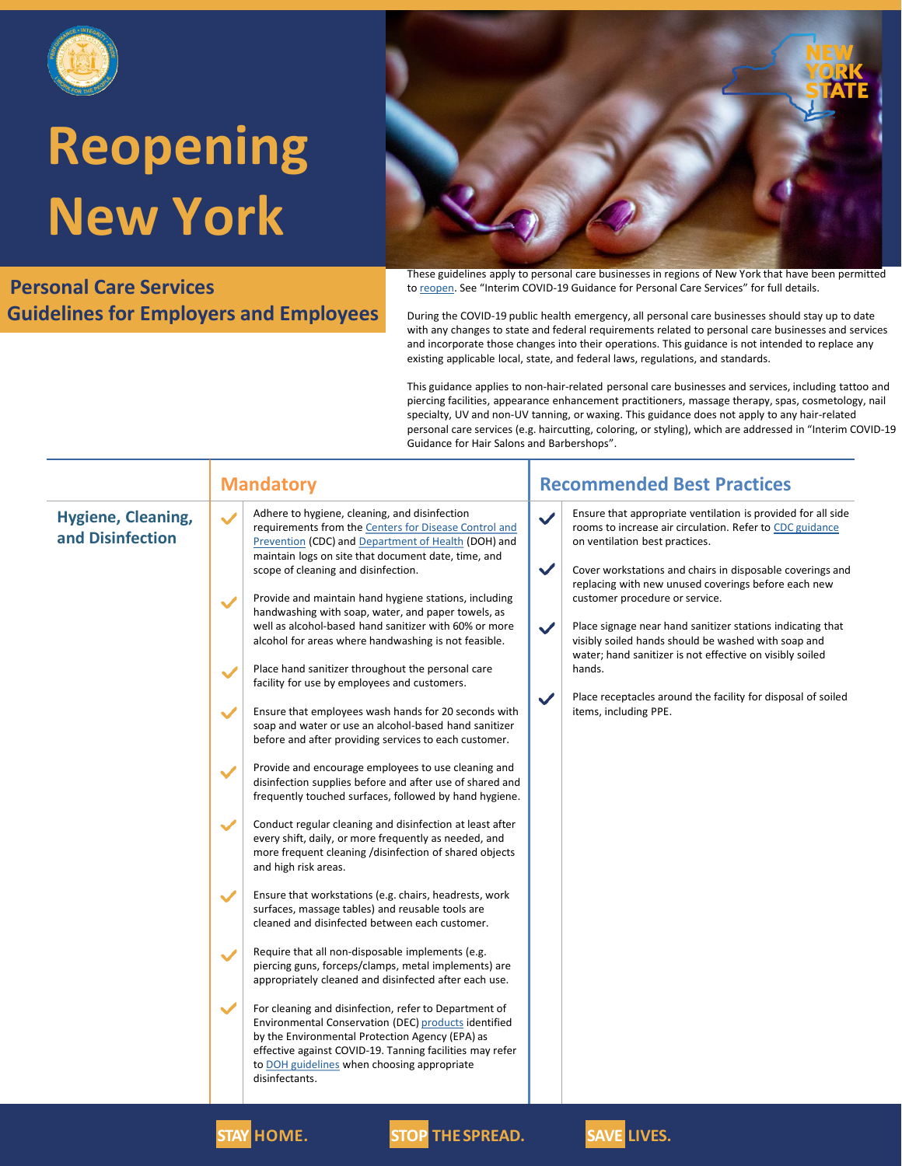

**Personal Care Services Guidelines for Employers and Employees**



These guidelines apply to personal care businesses in regions of New York that have been permitted to [reopen](https://forward.ny.gov/). See "Interim COVID-19 Guidance for Personal Care Services" for full details.

During the COVID-19 public health emergency, all personal care businesses should stay up to date with any changes to state and federal requirements related to personal care businesses and services and incorporate those changes into their operations. This guidance is not intended to replace any existing applicable local, state, and federal laws, regulations, and standards.

This guidance applies to non-hair-related personal care businesses and services, including tattoo and piercing facilities, appearance enhancement practitioners, massage therapy, spas, cosmetology, nail specialty, UV and non-UV tanning, or waxing. This guidance does not apply to any hair-related personal care services (e.g. haircutting, coloring, or styling), which are addressed in "Interim COVID-19 Guidance for Hair Salons and Barbershops".

| Hygiene, Cleaning,<br>and Disinfection | Adhere to hygiene, cleaning, and disinfection<br>$\checkmark$<br>requirements from the Centers for Disease Control and<br>Prevention (CDC) and Department of Health (DOH) and                                                                                                                                                                                                                                                                                                                                                                                                                                                                             | Ensure that appropriate ventilation is provided for all side<br>$\checkmark$<br>rooms to increase air circulation. Refer to CDC guidance                                                                                                                                                                                                                                                                                                                                                                                 |
|----------------------------------------|-----------------------------------------------------------------------------------------------------------------------------------------------------------------------------------------------------------------------------------------------------------------------------------------------------------------------------------------------------------------------------------------------------------------------------------------------------------------------------------------------------------------------------------------------------------------------------------------------------------------------------------------------------------|--------------------------------------------------------------------------------------------------------------------------------------------------------------------------------------------------------------------------------------------------------------------------------------------------------------------------------------------------------------------------------------------------------------------------------------------------------------------------------------------------------------------------|
|                                        | maintain logs on site that document date, time, and<br>scope of cleaning and disinfection.<br>Provide and maintain hand hygiene stations, including<br>$\checkmark$<br>handwashing with soap, water, and paper towels, as<br>well as alcohol-based hand sanitizer with 60% or more<br>alcohol for areas where handwashing is not feasible.<br>Place hand sanitizer throughout the personal care<br>$\checkmark$<br>facility for use by employees and customers.<br>Ensure that employees wash hands for 20 seconds with<br>$\checkmark$<br>soap and water or use an alcohol-based hand sanitizer<br>before and after providing services to each customer. | on ventilation best practices.<br>$\checkmark$<br>Cover workstations and chairs in disposable coverings and<br>replacing with new unused coverings before each new<br>customer procedure or service.<br>$\checkmark$<br>Place signage near hand sanitizer stations indicating that<br>visibly soiled hands should be washed with soap and<br>water; hand sanitizer is not effective on visibly soiled<br>hands.<br>$\checkmark$<br>Place receptacles around the facility for disposal of soiled<br>items, including PPE. |
|                                        | Provide and encourage employees to use cleaning and<br>$\checkmark$<br>disinfection supplies before and after use of shared and<br>frequently touched surfaces, followed by hand hygiene.                                                                                                                                                                                                                                                                                                                                                                                                                                                                 |                                                                                                                                                                                                                                                                                                                                                                                                                                                                                                                          |
|                                        | Conduct regular cleaning and disinfection at least after<br>$\checkmark$<br>every shift, daily, or more frequently as needed, and<br>more frequent cleaning /disinfection of shared objects<br>and high risk areas.                                                                                                                                                                                                                                                                                                                                                                                                                                       |                                                                                                                                                                                                                                                                                                                                                                                                                                                                                                                          |
|                                        | Ensure that workstations (e.g. chairs, headrests, work<br>$\checkmark$<br>surfaces, massage tables) and reusable tools are<br>cleaned and disinfected between each customer.                                                                                                                                                                                                                                                                                                                                                                                                                                                                              |                                                                                                                                                                                                                                                                                                                                                                                                                                                                                                                          |
|                                        | Require that all non-disposable implements (e.g.<br>$\checkmark$<br>piercing guns, forceps/clamps, metal implements) are<br>appropriately cleaned and disinfected after each use.                                                                                                                                                                                                                                                                                                                                                                                                                                                                         |                                                                                                                                                                                                                                                                                                                                                                                                                                                                                                                          |
|                                        | $\checkmark$<br>For cleaning and disinfection, refer to Department of<br>Environmental Conservation (DEC) products identified<br>by the Environmental Protection Agency (EPA) as<br>effective against COVID-19. Tanning facilities may refer<br>to DOH guidelines when choosing appropriate<br>disinfectants.                                                                                                                                                                                                                                                                                                                                             |                                                                                                                                                                                                                                                                                                                                                                                                                                                                                                                          |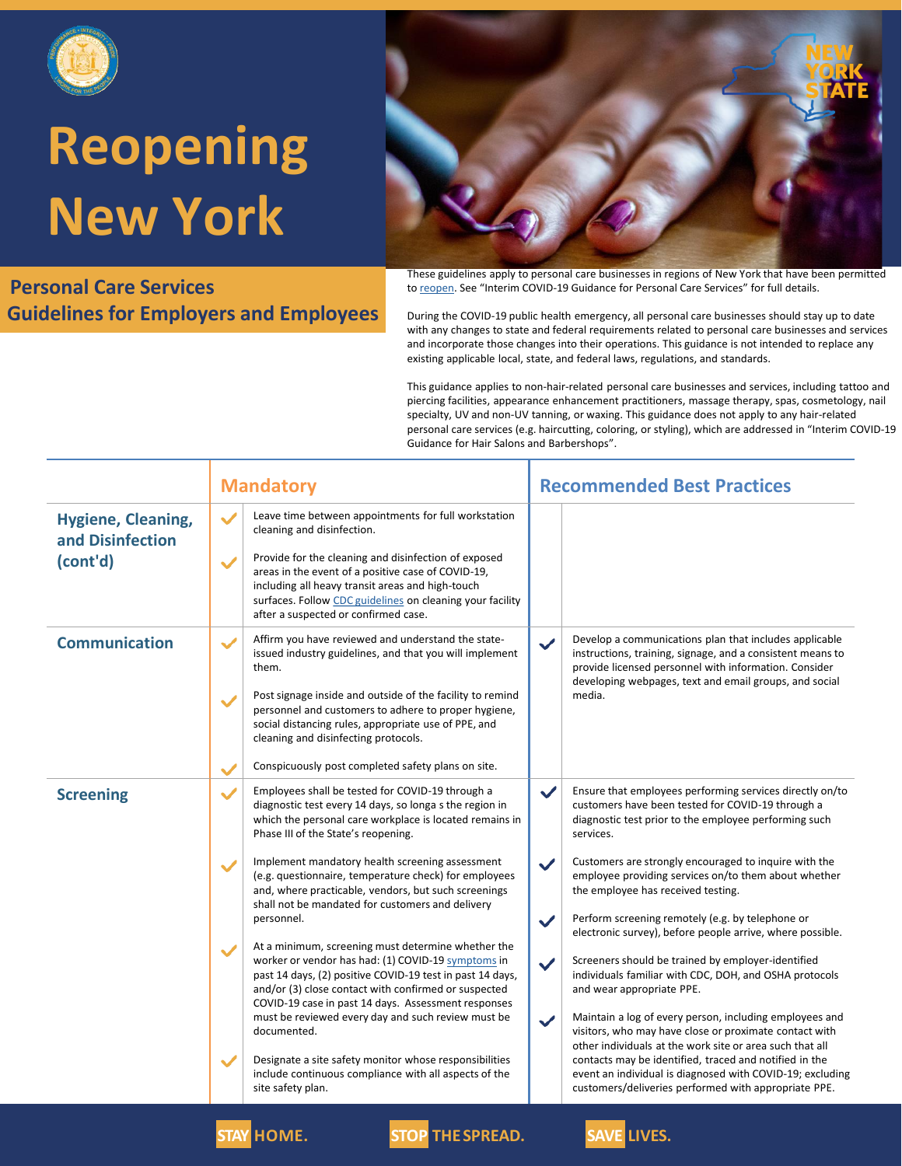

**Personal Care Services Guidelines for Employers and Employees**



These guidelines apply to personal care businesses in regions of New York that have been permitted to [reopen](https://forward.ny.gov/). See "Interim COVID-19 Guidance for Personal Care Services" for full details.

During the COVID-19 public health emergency, all personal care businesses should stay up to date with any changes to state and federal requirements related to personal care businesses and services and incorporate those changes into their operations. This guidance is not intended to replace any existing applicable local, state, and federal laws, regulations, and standards.

This guidance applies to non-hair-related personal care businesses and services, including tattoo and piercing facilities, appearance enhancement practitioners, massage therapy, spas, cosmetology, nail specialty, UV and non-UV tanning, or waxing. This guidance does not apply to any hair-related personal care services (e.g. haircutting, coloring, or styling), which are addressed in "Interim COVID-19 Guidance for Hair Salons and Barbershops".

|                                                           | <b>Mandatory</b>                                                                                                                                                                                                                                                                                                                                                                                                                                                                                                                                                                                                                                                                                                                                                                                                                                                                                                                                                                                                         | <b>Recommended Best Practices</b>                                                                                                                                                                                                                                                                                                                                                                                                                                                                                                                                                                                                                                                                                                                                                                                                                                                                                                                                                                                                                        |  |
|-----------------------------------------------------------|--------------------------------------------------------------------------------------------------------------------------------------------------------------------------------------------------------------------------------------------------------------------------------------------------------------------------------------------------------------------------------------------------------------------------------------------------------------------------------------------------------------------------------------------------------------------------------------------------------------------------------------------------------------------------------------------------------------------------------------------------------------------------------------------------------------------------------------------------------------------------------------------------------------------------------------------------------------------------------------------------------------------------|----------------------------------------------------------------------------------------------------------------------------------------------------------------------------------------------------------------------------------------------------------------------------------------------------------------------------------------------------------------------------------------------------------------------------------------------------------------------------------------------------------------------------------------------------------------------------------------------------------------------------------------------------------------------------------------------------------------------------------------------------------------------------------------------------------------------------------------------------------------------------------------------------------------------------------------------------------------------------------------------------------------------------------------------------------|--|
| <b>Hygiene, Cleaning,</b><br>and Disinfection<br>(cont'd) | Leave time between appointments for full workstation<br>$\checkmark$<br>cleaning and disinfection.<br>Provide for the cleaning and disinfection of exposed<br>$\checkmark$<br>areas in the event of a positive case of COVID-19,<br>including all heavy transit areas and high-touch<br>surfaces. Follow CDC guidelines on cleaning your facility<br>after a suspected or confirmed case.                                                                                                                                                                                                                                                                                                                                                                                                                                                                                                                                                                                                                                |                                                                                                                                                                                                                                                                                                                                                                                                                                                                                                                                                                                                                                                                                                                                                                                                                                                                                                                                                                                                                                                          |  |
| <b>Communication</b>                                      | Affirm you have reviewed and understand the state-<br>$\checkmark$<br>issued industry guidelines, and that you will implement<br>them.<br>Post signage inside and outside of the facility to remind<br>$\checkmark$<br>personnel and customers to adhere to proper hygiene,<br>social distancing rules, appropriate use of PPE, and<br>cleaning and disinfecting protocols.<br>Conspicuously post completed safety plans on site.<br>$\checkmark$                                                                                                                                                                                                                                                                                                                                                                                                                                                                                                                                                                        | Develop a communications plan that includes applicable<br>$\checkmark$<br>instructions, training, signage, and a consistent means to<br>provide licensed personnel with information. Consider<br>developing webpages, text and email groups, and social<br>media.                                                                                                                                                                                                                                                                                                                                                                                                                                                                                                                                                                                                                                                                                                                                                                                        |  |
| <b>Screening</b>                                          | Employees shall be tested for COVID-19 through a<br>$\checkmark$<br>diagnostic test every 14 days, so longa s the region in<br>which the personal care workplace is located remains in<br>Phase III of the State's reopening.<br>Implement mandatory health screening assessment<br>$\checkmark$<br>(e.g. questionnaire, temperature check) for employees<br>and, where practicable, vendors, but such screenings<br>shall not be mandated for customers and delivery<br>personnel.<br>At a minimum, screening must determine whether the<br>$\checkmark$<br>worker or vendor has had: (1) COVID-19 symptoms in<br>past 14 days, (2) positive COVID-19 test in past 14 days,<br>and/or (3) close contact with confirmed or suspected<br>COVID-19 case in past 14 days. Assessment responses<br>must be reviewed every day and such review must be<br>documented.<br>Designate a site safety monitor whose responsibilities<br>$\checkmark$<br>include continuous compliance with all aspects of the<br>site safety plan. | $\checkmark$<br>Ensure that employees performing services directly on/to<br>customers have been tested for COVID-19 through a<br>diagnostic test prior to the employee performing such<br>services.<br>Customers are strongly encouraged to inquire with the<br>$\checkmark$<br>employee providing services on/to them about whether<br>the employee has received testing.<br>Perform screening remotely (e.g. by telephone or<br>$\checkmark$<br>electronic survey), before people arrive, where possible.<br>Screeners should be trained by employer-identified<br>$\checkmark$<br>individuals familiar with CDC, DOH, and OSHA protocols<br>and wear appropriate PPE.<br>Maintain a log of every person, including employees and<br>$\checkmark$<br>visitors, who may have close or proximate contact with<br>other individuals at the work site or area such that all<br>contacts may be identified, traced and notified in the<br>event an individual is diagnosed with COVID-19; excluding<br>customers/deliveries performed with appropriate PPE. |  |